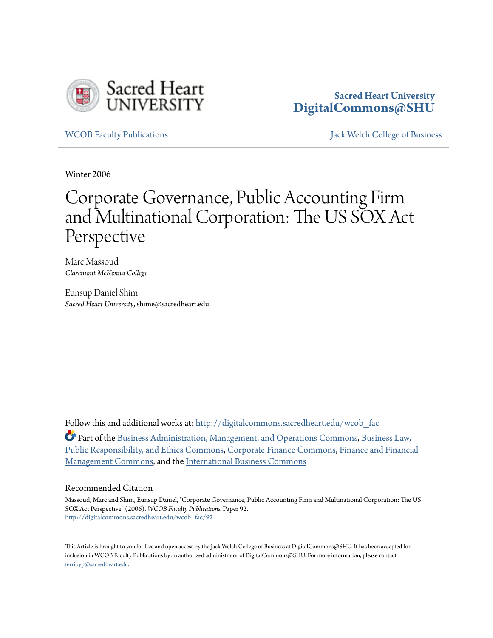

# **Sacred Heart University [DigitalCommons@SHU](http://digitalcommons.sacredheart.edu?utm_source=digitalcommons.sacredheart.edu%2Fwcob_fac%2F92&utm_medium=PDF&utm_campaign=PDFCoverPages)**

[WCOB Faculty Publications](http://digitalcommons.sacredheart.edu/wcob_fac?utm_source=digitalcommons.sacredheart.edu%2Fwcob_fac%2F92&utm_medium=PDF&utm_campaign=PDFCoverPages) [Jack Welch College of Business](http://digitalcommons.sacredheart.edu/wcob?utm_source=digitalcommons.sacredheart.edu%2Fwcob_fac%2F92&utm_medium=PDF&utm_campaign=PDFCoverPages)

Winter 2006

# Corporate Governance, Public Accounting Firm and Multinational Corporation: The US SOX Act Perspective

Marc Massoud *Claremont McKenna College*

Eunsup Daniel Shim *Sacred Heart University*, shime@sacredheart.edu

Follow this and additional works at: [http://digitalcommons.sacredheart.edu/wcob\\_fac](http://digitalcommons.sacredheart.edu/wcob_fac?utm_source=digitalcommons.sacredheart.edu%2Fwcob_fac%2F92&utm_medium=PDF&utm_campaign=PDFCoverPages)

Part of the [Business Administration, Management, and Operations Commons](http://network.bepress.com/hgg/discipline/623?utm_source=digitalcommons.sacredheart.edu%2Fwcob_fac%2F92&utm_medium=PDF&utm_campaign=PDFCoverPages), [Business Law,](http://network.bepress.com/hgg/discipline/628?utm_source=digitalcommons.sacredheart.edu%2Fwcob_fac%2F92&utm_medium=PDF&utm_campaign=PDFCoverPages) [Public Responsibility, and Ethics Commons,](http://network.bepress.com/hgg/discipline/628?utm_source=digitalcommons.sacredheart.edu%2Fwcob_fac%2F92&utm_medium=PDF&utm_campaign=PDFCoverPages) [Corporate Finance Commons](http://network.bepress.com/hgg/discipline/629?utm_source=digitalcommons.sacredheart.edu%2Fwcob_fac%2F92&utm_medium=PDF&utm_campaign=PDFCoverPages), [Finance and Financial](http://network.bepress.com/hgg/discipline/631?utm_source=digitalcommons.sacredheart.edu%2Fwcob_fac%2F92&utm_medium=PDF&utm_campaign=PDFCoverPages) [Management Commons](http://network.bepress.com/hgg/discipline/631?utm_source=digitalcommons.sacredheart.edu%2Fwcob_fac%2F92&utm_medium=PDF&utm_campaign=PDFCoverPages), and the [International Business Commons](http://network.bepress.com/hgg/discipline/634?utm_source=digitalcommons.sacredheart.edu%2Fwcob_fac%2F92&utm_medium=PDF&utm_campaign=PDFCoverPages)

# Recommended Citation

Massoud, Marc and Shim, Eunsup Daniel, "Corporate Governance, Public Accounting Firm and Multinational Corporation: The US SOX Act Perspective" (2006). *WCOB Faculty Publications.* Paper 92. [http://digitalcommons.sacredheart.edu/wcob\\_fac/92](http://digitalcommons.sacredheart.edu/wcob_fac/92?utm_source=digitalcommons.sacredheart.edu%2Fwcob_fac%2F92&utm_medium=PDF&utm_campaign=PDFCoverPages)

This Article is brought to you for free and open access by the Jack Welch College of Business at DigitalCommons@SHU. It has been accepted for inclusion in WCOB Faculty Publications by an authorized administrator of DigitalCommons@SHU. For more information, please contact [ferribyp@sacredheart.edu](mailto:ferribyp@sacredheart.edu).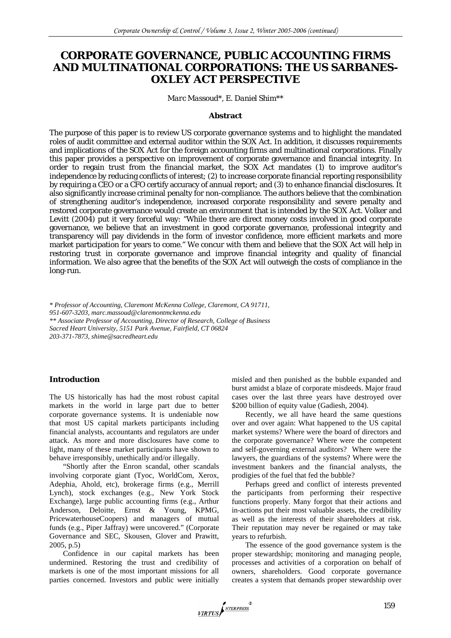# **CORPORATE GOVERNANCE, PUBLIC ACCOUNTING FIRMS AND MULTINATIONAL CORPORATIONS: THE US SARBANES-OXLEY ACT PERSPECTIVE**

#### *Marc Massoud\*, E. Daniel Shim\*\**

#### **Abstract**

The purpose of this paper is to review US corporate governance systems and to highlight the mandated roles of audit committee and external auditor within the SOX Act. In addition, it discusses requirements and implications of the SOX Act for the foreign accounting firms and multinational corporations. Finally this paper provides a perspective on improvement of corporate governance and financial integrity. In order to regain trust from the financial market, the SOX Act mandates (1) to improve auditor's independence by reducing conflicts of interest; (2) to increase corporate financial reporting responsibility by requiring a CEO or a CFO certify accuracy of annual report; and (3) to enhance financial disclosures. It also significantly increase criminal penalty for non-compliance. The authors believe that the combination of strengthening auditor's independence, increased corporate responsibility and severe penalty and restored corporate governance would create an environment that is intended by the SOX Act. Volker and Levitt (2004) put it very forceful way: "While there are direct money costs involved in good corporate governance, we believe that an investment in good corporate governance, professional integrity and transparency will pay dividends in the form of investor confidence, more efficient markets and more market participation for years to come." We concur with them and believe that the SOX Act will help in restoring trust in corporate governance and improve financial integrity and quality of financial information. We also agree that the benefits of the SOX Act will outweigh the costs of compliance in the long-run.

*\* Professor of Accounting, Claremont McKenna College, Claremont, CA 91711, 951-607-3203, marc.massoud@claremontmckenna.edu \*\* Associate Professor of Accounting, Director of Research, College of Business Sacred Heart University, 5151 Park Avenue, Fairfield, CT 06824 203-371-7873, shime@sacredheart.edu* 

#### **Introduction**

The US historically has had the most robust capital markets in the world in large part due to better corporate governance systems. It is undeniable now that most US capital markets participants including financial analysts, accountants and regulators are under attack. As more and more disclosures have come to light, many of these market participants have shown to behave irresponsibly, unethically and/or illegally.

"Shortly after the Enron scandal, other scandals involving corporate giant (Tyoc, WorldCom, Xerox, Adephia, Ahold, etc), brokerage firms (e.g., Merrill Lynch), stock exchanges (e.g., New York Stock Exchange), large public accounting firms (e.g., Arthur Anderson, Deloitte, Ernst & Young, KPMG, PricewaterhouseCoopers) and managers of mutual funds (e.g., Piper Jaffray) were uncovered." (Corporate Governance and SEC, Skousen, Glover and Prawitt, 2005, p.5)

Confidence in our capital markets has been undermined. Restoring the trust and credibility of markets is one of the most important missions for all parties concerned. Investors and public were initially misled and then punished as the bubble expanded and burst amidst a blaze of corporate misdeeds. Major fraud cases over the last three years have destroyed over \$200 billion of equity value (Gadiesh, 2004).

Recently, we all have heard the same questions over and over again: What happened to the US capital market systems? Where were the board of directors and the corporate governance? Where were the competent and self-governing external auditors? Where were the lawyers, the guardians of the systems? Where were the investment bankers and the financial analysts, the prodigies of the fuel that fed the bubble?

Perhaps greed and conflict of interests prevented the participants from performing their respective functions properly. Many forgot that their actions and in-actions put their most valuable assets, the credibility as well as the interests of their shareholders at risk. Their reputation may never be regained or may take years to refurbish.

The essence of the good governance system is the proper stewardship; monitoring and managing people, processes and activities of a corporation on behalf of owners, shareholders. Good corporate governance creates a system that demands proper stewardship over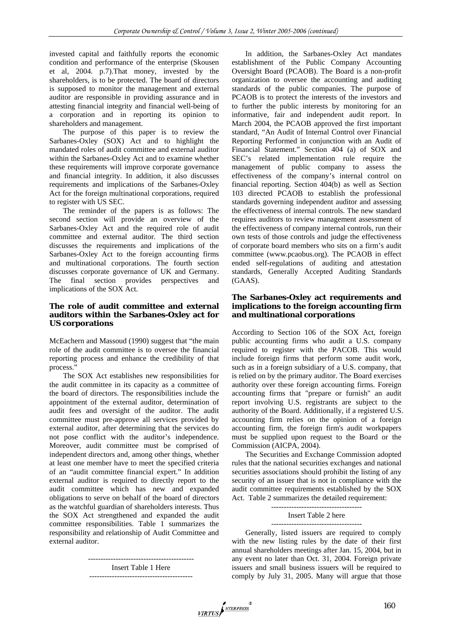invested capital and faithfully reports the economic condition and performance of the enterprise (Skousen et al, 2004. p.7).That money, invested by the shareholders, is to be protected. The board of directors is supposed to monitor the management and external auditor are responsible in providing assurance and in attesting financial integrity and financial well-being of a corporation and in reporting its opinion to shareholders and management.

The purpose of this paper is to review the Sarbanes-Oxley (SOX) Act and to highlight the mandated roles of audit committee and external auditor within the Sarbanes-Oxley Act and to examine whether these requirements will improve corporate governance and financial integrity. In addition, it also discusses requirements and implications of the Sarbanes-Oxley Act for the foreign multinational corporations, required to register with US SEC.

The reminder of the papers is as follows: The second section will provide an overview of the Sarbanes-Oxley Act and the required role of audit committee and external auditor. The third section discusses the requirements and implications of the Sarbanes-Oxley Act to the foreign accounting firms and multinational corporations. The fourth section discusses corporate governance of UK and Germany. The final section provides perspectives and implications of the SOX Act.

# **The role of audit committee and external auditors within the Sarbanes-Oxley act for US corporations**

McEachern and Massoud (1990) suggest that "the main role of the audit committee is to oversee the financial reporting process and enhance the credibility of that process."

The SOX Act establishes new responsibilities for the audit committee in its capacity as a committee of the board of directors. The responsibilities include the appointment of the external auditor, determination of audit fees and oversight of the auditor. The audit committee must pre-approve all services provided by external auditor, after determining that the services do not pose conflict with the auditor's independence. Moreover, audit committee must be comprised of independent directors and, among other things, whether at least one member have to meet the specified criteria of an "audit committee financial expert." In addition external auditor is required to directly report to the audit committee which has new and expanded obligations to serve on behalf of the board of directors as the watchful guardian of shareholders interests. Thus the SOX Act strengthened and expanded the audit committee responsibilities. Table 1 summarizes the responsibility and relationship of Audit Committee and external auditor.

> ------------------------------------------ Insert Table 1 Here -----------------------------------------

In addition, the Sarbanes-Oxley Act mandates establishment of the Public Company Accounting Oversight Board (PCAOB). The Board is a non-profit organization to oversee the accounting and auditing standards of the public companies. The purpose of PCAOB is to protect the interests of the investors and to further the public interests by monitoring for an informative, fair and independent audit report. In March 2004, the PCAOB approved the first important standard, "An Audit of Internal Control over Financial Reporting Performed in conjunction with an Audit of Financial Statement." Section 404 (a) of SOX and SEC's related implementation rule require the management of public company to assess the effectiveness of the company's internal control on financial reporting. Section 404(b) as well as Section 103 directed PCAOB to establish the professional standards governing independent auditor and assessing the effectiveness of internal controls. The new standard requires auditors to review management assessment of the effectiveness of company internal controls, run their own tests of those controls and judge the effectiveness of corporate board members who sits on a firm's audit committee (www.pcaobus.org). The PCAOB in effect ended self-regulations of auditing and attestation standards, Generally Accepted Auditing Standards (GAAS).

## **The Sarbanes-Oxley act requirements and implications to the foreign accounting firm and multinational corporations**

According to Section 106 of the SOX Act, foreign public accounting firms who audit a U.S. company required to register with the PACOB. This would include foreign firms that perform some audit work, such as in a foreign subsidiary of a U.S. company, that is relied on by the primary auditor. The Board exercises authority over these foreign accounting firms. Foreign accounting firms that "prepare or furnish" an audit report involving U.S. registrants are subject to the authority of the Board. Additionally, if a registered U.S. accounting firm relies on the opinion of a foreign accounting firm, the foreign firm's audit workpapers must be supplied upon request to the Board or the Commission (AICPA, 2004).

The Securities and Exchange Commission adopted rules that the national securities exchanges and national securities associations should prohibit the listing of any security of an issuer that is not in compliance with the audit committee requirements established by the SOX Act. Table 2 summarizes the detailed requirement:

> ------------------------------------ Insert Table 2 here ------------------------------------

Generally, listed issuers are required to comply with the new listing rules by the date of their first annual shareholders meetings after Jan. 15, 2004, but in any event no later than Oct. 31, 2004. Foreign private issuers and small business issuers will be required to comply by July 31, 2005. Many will argue that those

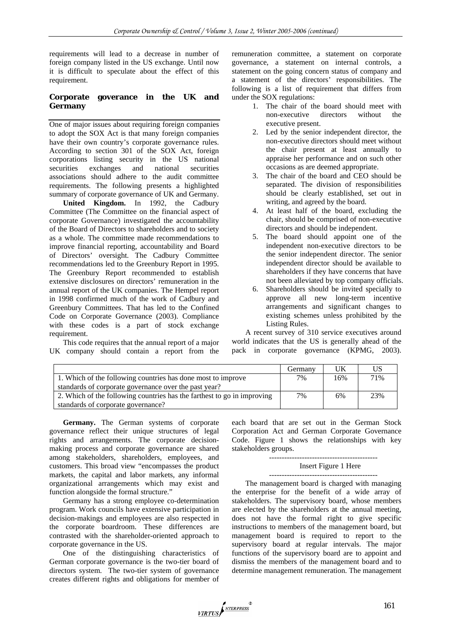requirements will lead to a decrease in number of foreign company listed in the US exchange. Until now it is difficult to speculate about the effect of this requirement.

## **Corporate goverance in the UK and Germany**

One of major issues about requiring foreign companies to adopt the SOX Act is that many foreign companies have their own country's corporate governance rules. According to section 301 of the SOX Act, foreign corporations listing security in the US national securities exchanges and national securities associations should adhere to the audit committee requirements. The following presents a highlighted summary of corporate governance of UK and Germany.

**United Kingdom.** In 1992, the Cadbury Committee (The Committee on the financial aspect of corporate Governance) investigated the accountability of the Board of Directors to shareholders and to society as a whole. The committee made recommendations to improve financial reporting, accountability and Board of Directors' oversight. The Cadbury Committee recommendations led to the Greenbury Report in 1995. The Greenbury Report recommended to establish extensive disclosures on directors' remuneration in the annual report of the UK companies. The Hempel report in 1998 confirmed much of the work of Cadbury and Greenbury Committees. That has led to the Confined Code on Corporate Governance (2003). Compliance with these codes is a part of stock exchange requirement.

This code requires that the annual report of a major UK company should contain a report from the

remuneration committee, a statement on corporate governance, a statement on internal controls, a statement on the going concern status of company and a statement of the directors' responsibilities. The following is a list of requirement that differs from under the SOX regulations:

- 1. The chair of the board should meet with non-executive directors without the executive present.
- 2. Led by the senior independent director, the non-executive directors should meet without the chair present at least annually to appraise her performance and on such other occasions as are deemed appropriate.
- 3. The chair of the board and CEO should be separated. The division of responsibilities should be clearly established, set out in writing, and agreed by the board.
- 4. At least half of the board, excluding the chair, should be comprised of non-executive directors and should be independent.
- 5. The board should appoint one of the independent non-executive directors to be the senior independent director. The senior independent director should be available to shareholders if they have concerns that have not been alleviated by top company officials.
- 6. Shareholders should be invited specially to approve all new long-term incentive arrangements and significant changes to existing schemes unless prohibited by the Listing Rules.

A recent survey of 310 service executives around world indicates that the US is generally ahead of the pack in corporate governance (KPMG, 2003).

|                                                                         | Germany | UK  | US  |
|-------------------------------------------------------------------------|---------|-----|-----|
| 1. Which of the following countries has done most to improve            | 7%      | 16% | 71% |
| standards of corporate governance over the past year?                   |         |     |     |
| 2. Which of the following countries has the farthest to go in improving | 7%      | 6%  | 23% |
| standards of corporate governance?                                      |         |     |     |

**Germany.** The German systems of corporate governance reflect their unique structures of legal rights and arrangements. The corporate decisionmaking process and corporate governance are shared among stakeholders, shareholders, employees, and customers. This broad view "encompasses the product markets, the capital and labor markets, any informal organizational arrangements which may exist and function alongside the formal structure."

Germany has a strong employee co-determination program. Work councils have extensive participation in decision-makings and employees are also respected in the corporate boardroom. These differences are contrasted with the shareholder-oriented approach to corporate governance in the US.

One of the distinguishing characteristics of German corporate governance is the two-tier board of directors system. The two-tier system of governance creates different rights and obligations for member of each board that are set out in the German Stock Corporation Act and German Corporate Governance Code. Figure 1 shows the relationships with key stakeholders groups.

#### ------------------------------------------- Insert Figure 1 Here

# -------------------------------------------

The management board is charged with managing the enterprise for the benefit of a wide array of stakeholders. The supervisory board, whose members are elected by the shareholders at the annual meeting, does not have the formal right to give specific instructions to members of the management board, but management board is required to report to the supervisory board at regular intervals. The major functions of the supervisory board are to appoint and dismiss the members of the management board and to determine management remuneration. The management

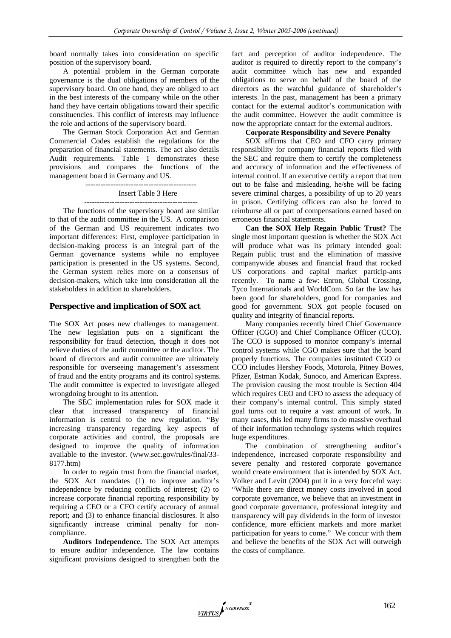board normally takes into consideration on specific position of the supervisory board.

A potential problem in the German corporate governance is the dual obligations of members of the supervisory board. On one hand, they are obliged to act in the best interests of the company while on the other hand they have certain obligations toward their specific constituencies. This conflict of interests may influence the role and actions of the supervisory board.

The German Stock Corporation Act and German Commercial Codes establish the regulations for the preparation of financial statements. The act also details Audit requirements. Table 1 demonstrates these provisions and compares the functions of the management board in Germany and US.

--------------------------------------------

# Insert Table 3 Here

---------------------------------------------

The functions of the supervisory board are similar to that of the audit committee in the US. A comparison of the German and US requirement indicates two important differences: First, employee participation in decision-making process is an integral part of the German governance systems while no employee participation is presented in the US systems. Second, the German system relies more on a consensus of decision-makers, which take into consideration all the stakeholders in addition to shareholders.

#### **Perspective and implication of SOX act**

The SOX Act poses new challenges to management. The new legislation puts on a significant the responsibility for fraud detection, though it does not relieve duties of the audit committee or the auditor. The board of directors and audit committee are ultimately responsible for overseeing management's assessment of fraud and the entity programs and its control systems. The audit committee is expected to investigate alleged wrongdoing brought to its attention.

The SEC implementation rules for SOX made it clear that increased transparency of financial information is central to the new regulation. "By increasing transparency regarding key aspects of corporate activities and control, the proposals are designed to improve the quality of information available to the investor. (www.sec.gov/rules/final/33- 8177.htm)

In order to regain trust from the financial market, the SOX Act mandates (1) to improve auditor's independence by reducing conflicts of interest; (2) to increase corporate financial reporting responsibility by requiring a CEO or a CFO certify accuracy of annual report; and (3) to enhance financial disclosures. It also significantly increase criminal penalty for noncompliance.

**Auditors Independence.** The SOX Act attempts to ensure auditor independence. The law contains significant provisions designed to strengthen both the fact and perception of auditor independence. The auditor is required to directly report to the company's audit committee which has new and expanded obligations to serve on behalf of the board of the directors as the watchful guidance of shareholder's interests. In the past, management has been a primary contact for the external auditor's communication with the audit committee. However the audit committee is now the appropriate contact for the external auditors.

#### **Corporate Responsibility and Severe Penalty**

SOX affirms that CEO and CFO carry primary responsibility for company financial reports filed with the SEC and require them to certify the completeness and accuracy of information and the effectiveness of internal control. If an executive certify a report that turn out to be false and misleading, he/she will be facing severe criminal charges, a possibility of up to 20 years in prison. Certifying officers can also be forced to reimburse all or part of compensations earned based on erroneous financial statements.

**Can the SOX Help Regain Public Trust?** The single most important question is whether the SOX Act will produce what was its primary intended goal: Regain public trust and the elimination of massive companywide abuses and financial fraud that rocked US corporations and capital market particip-ants recently. To name a few: Enron, Global Crossing, Tyco Internationals and WorldCom. So far the law has been good for shareholders, good for companies and good for government. SOX got people focused on quality and integrity of financial reports.

Many companies recently hired Chief Governance Officer (CGO) and Chief Compliance Officer (CCO). The CCO is supposed to monitor company's internal control systems while CGO makes sure that the board properly functions. The companies instituted CGO or CCO includes Hershey Foods, Motorola, Pitney Bowes, Pfizer, Estman Kodak, Sunoco, and American Express. The provision causing the most trouble is Section 404 which requires CEO and CFO to assess the adequacy of their company's internal control. This simply stated goal turns out to require a vast amount of work. In many cases, this led many firms to do massive overhaul of their information technology systems which requires huge expenditures.

The combination of strengthening auditor's independence, increased corporate responsibility and severe penalty and restored corporate governance would create environment that is intended by SOX Act. Volker and Levitt (2004) put it in a very forceful way: "While there are direct money costs involved in good corporate governance, we believe that an investment in good corporate governance, professional integrity and transparency will pay dividends in the form of investor confidence, more efficient markets and more market participation for years to come." We concur with them and believe the benefits of the SOX Act will outweigh the costs of compliance.

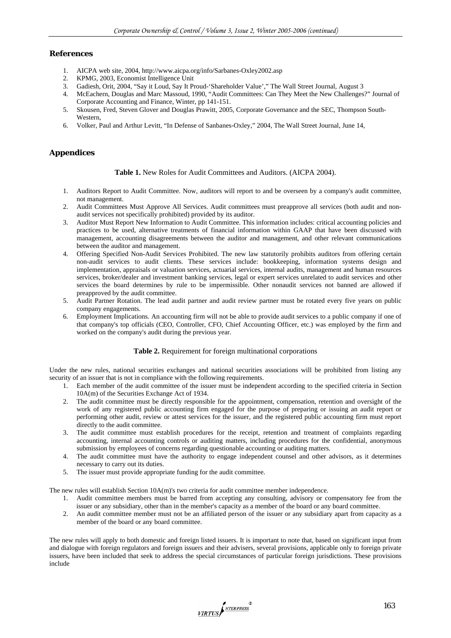## **References**

- 1. AICPA web site, 2004, http://www.aicpa.org/info/Sarbanes-Oxley2002.asp
- 2. KPMG, 2003, Economist Intelligence Unit
- 3. Gadiesh, Orit, 2004, "Say it Loud, Say It Proud-'Shareholder Value'," The Wall Street Journal, August 3
- 4. McEachern, Douglas and Marc Massoud, 1990, "Audit Committees: Can They Meet the New Challenges?" Journal of Corporate Accounting and Finance, Winter, pp 141-151.
- 5. Skousen, Fred, Steven Glover and Douglas Prawitt, 2005, Corporate Governance and the SEC, Thompson South-**Western**
- 6. Volker, Paul and Arthur Levitt, "In Defense of Sanbanes-Oxley," 2004, The Wall Street Journal, June 14,

# **Appendices**

#### **Table 1.** New Roles for Audit Committees and Auditors. (AICPA 2004).

- 1. Auditors Report to Audit Committee. Now, auditors will report to and be overseen by a company's audit committee, not management.
- 2. Audit Committees Must Approve All Services. Audit committees must preapprove all services (both audit and nonaudit services not specifically prohibited) provided by its auditor.
- 3. Auditor Must Report New Information to Audit Committee. This information includes: critical accounting policies and practices to be used, alternative treatments of financial information within GAAP that have been discussed with management, accounting disagreements between the auditor and management, and other relevant communications between the auditor and management.
- 4. Offering Specified Non-Audit Services Prohibited. The new law statutorily prohibits auditors from offering certain non-audit services to audit clients. These services include: bookkeeping, information systems design and implementation, appraisals or valuation services, actuarial services, internal audits, management and human resources services, broker/dealer and investment banking services, legal or expert services unrelated to audit services and other services the board determines by rule to be impermissible. Other nonaudit services not banned are allowed if preapproved by the audit committee.
- 5. Audit Partner Rotation. The lead audit partner and audit review partner must be rotated every five years on public company engagements.
- 6. Employment Implications. An accounting firm will not be able to provide audit services to a public company if one of that company's top officials (CEO, Controller, CFO, Chief Accounting Officer, etc.) was employed by the firm and worked on the company's audit during the previous year.

#### **Table 2.** Requirement for foreign multinational corporations

Under the new rules, national securities exchanges and national securities associations will be prohibited from listing any security of an issuer that is not in compliance with the following requirements.

- 1. Each member of the audit committee of the issuer must be independent according to the specified criteria in Section 10A(m) of the Securities Exchange Act of 1934.
- 2. The audit committee must be directly responsible for the appointment, compensation, retention and oversight of the work of any registered public accounting firm engaged for the purpose of preparing or issuing an audit report or performing other audit, review or attest services for the issuer, and the registered public accounting firm must report directly to the audit committee.
- 3. The audit committee must establish procedures for the receipt, retention and treatment of complaints regarding accounting, internal accounting controls or auditing matters, including procedures for the confidential, anonymous submission by employees of concerns regarding questionable accounting or auditing matters.
- 4. The audit committee must have the authority to engage independent counsel and other advisors, as it determines necessary to carry out its duties.
- 5. The issuer must provide appropriate funding for the audit committee.

The new rules will establish Section 10A(m)'s two criteria for audit committee member independence.

- 1. Audit committee members must be barred from accepting any consulting, advisory or compensatory fee from the issuer or any subsidiary, other than in the member's capacity as a member of the board or any board committee.
- 2. An audit committee member must not be an affiliated person of the issuer or any subsidiary apart from capacity as a member of the board or any board committee.

The new rules will apply to both domestic and foreign listed issuers. It is important to note that, based on significant input from and dialogue with foreign regulators and foreign issuers and their advisers, several provisions, applicable only to foreign private issuers, have been included that seek to address the special circumstances of particular foreign jurisdictions. These provisions include